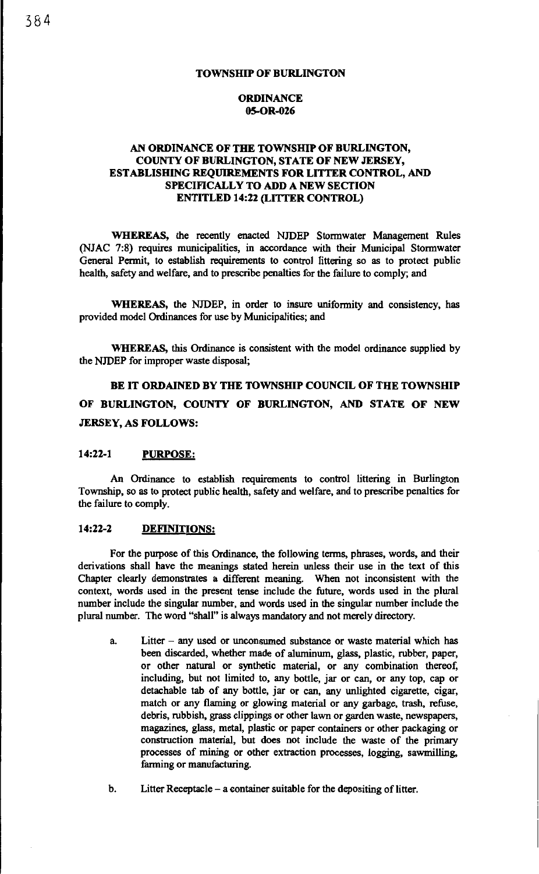### **ORDINANCE OS-OR-026**

### **AN ORDINANCE OF THE TOWNSHIP OF BURLINGTON, COUNTY OF BURLINGTON, STATE OF NEW JERSEY, ESTABLISHING REQUIREMENTS FOR LITTER CONTROL, AND SPECIFICALLY TO ADD A NEW SECTION ENTITLED 14:22 (LITTER CONTROL)**

WHEREAS, the recently enacted NJDEP Stormwater Management Rules (NJAC 7:8) requires municipalities, in accordance with their Municipal Stonnwater General Permit, to establish requirements to control littering so as to protect public health, safety and welfare, and to prescribe penalties for the failure to comply; and

**WHEREAS,** the NJDEP, in order to insure uniformity and consistency, has provided model Ordinances for use by Municipalities; and

**WHEREAS,** this Ordinance is consistent with the model ordinance supplied by the NJDEP for improper waste disposal;

**BE IT ORDAINED BY THE TOWNSHIP COUNCIL OF THE TOWNSHIP OF BURLINGTON, COUNTY OF BURLINGTON, AND STATE OF NEW JERSEY, AS FOLLOWS:** 

### **14:22-1 PURPOSE:**

An Ordinance to establish requirements to control littering in Burlington Township, so as to protect public health, safety and welfare, and to prescribe penalties for the failure to comply.

### **14:22-2 DEFINITIONS:**

For the purpose of this Ordinance, the following terms, phrases, words, and their derivations shall have the meanings stated herein unless their use in the text of this Chapter clearly demonstrates a different meaning. When not inconsistent with the context, words used in the present tense include the future, words used in the plural number include the singular number, and words used in the singular number include the plural number. The word "shall" is always mandatory and not merely directory.

- a. Litter any used or unconsumed substance or waste material which has been discarded, whether made of aluminum, glass, plastic, rubber, paper, or other natural or synthetic material, or any combination thereof, including, but not limited to, any bottle, jar or can, or any top, cap or detachable tab of any bottle, jar or can, any unlighted cigarette, cigar, match or any flaming or glowing material or any garbage, trash, refuse, debris, rubbish, grass clippings or other lawn or garden waste, newspapers, magazines, glass, metal, plastic or paper containers or other packaging or construction material, but does not include the waste of the primary processes of mining or other extraction processes, logging, sawmilling, farming or manufacturing.
- b. Litter Receptacle a eontainer suitable for the depositing of litter.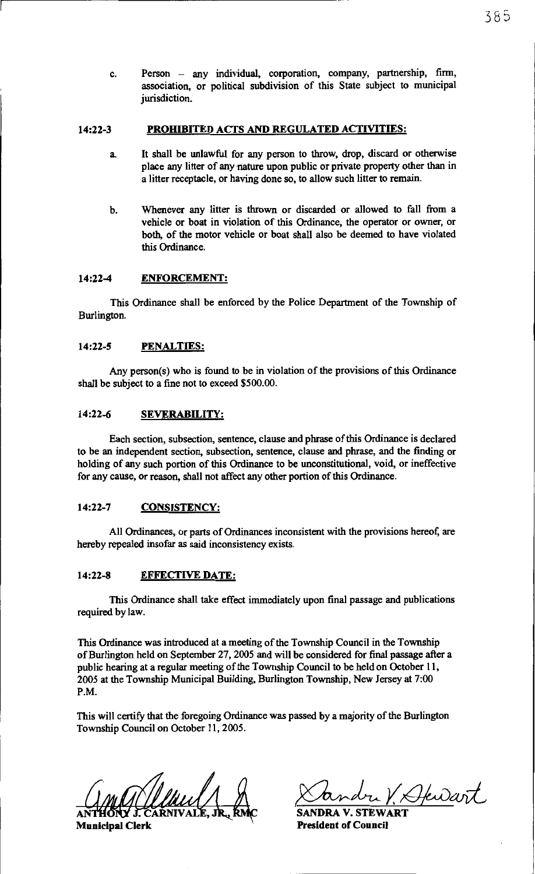c. Person - any individual, corporation, company, partnership, firm, association, or political subdivision of this State subject to municipal jurisdiction.

#### 14:22-3 PROHIBITED ACTS AND REGULATED ACTIVITIES:

- a. It shall be unlawful for any person to throw, drop, discard or otherwise place any litter of any nature upon public or private property other than in a litter receptacle, or having done so, to allow such litter to remain.
- b. Whenever any litter is thrown or discarded or allowed to fall from a vehicle or boat in violation of this Ordinance, the operator or owner, or both, of the motor vehicle or boat shall also be deemed to have violated this Ordinance.

#### 14:22-4 ENFORCEMENT:

This Ordinance shall be enforced by the Police Department of the Township of Burlington.

### 14:22-5 PENALTIES:

Any person(s) who is found to be in violation of the provisions of this Ordinance shall be subject to a fine not to exceed \$500.00.

#### 14:22-6 SEVERABILITY:

Each section, subsection, sentence, clause and phrase of this Ordinance is declared to be an independent section, subsection, sentence, clause and phrase, and the finding or holding of any such portion of this Ordinance to be unconstitutional, void, or ineffective for any cause, or reason, shall not affect any other portion of this Ordinance.

#### 14:22-7 CONSISTENCY:

All Ordinances, or parts of Ordinances inconsistent with the provisions hereof, are hereby repealed insofar as said inconsistency exists.

#### 14:22-8 EFFECTIVE DATE:

This Ordinance shall take effect immediately upon final passage and publications required by law.

This Ordinance was introduced at a meeting of the Township Council in the Township of Burlington held on September 27, 2005 and will be considered for final passage after a public hearing at a regular meeting of the Township Council to be held on October 11, 2005 at the Township Municipal Building, Burlington Township, New Jersey at 7:00 P.M.

This will certify that the foregoing Ordinance was passed by a majority of the Burlington Township Council on October 11, 2005.

municipal Clerk Municipal Clerk Candre V. Hewart

**SANDRA V. STEWART** President of Council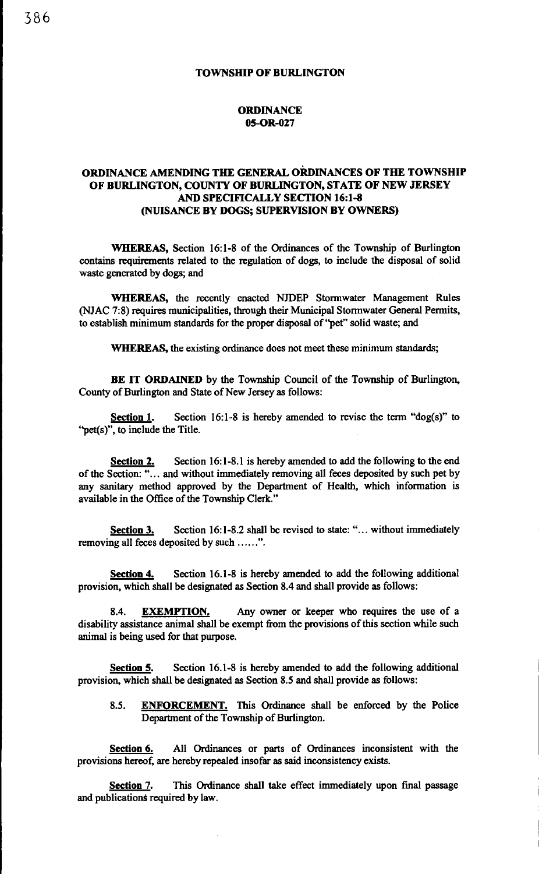#### **ORDINANCE** 05-0R-027

### ORDINANCE AMENDING THE GENERAL ORDINANCES OF THE TOWNSHIP OF BURLINGTON, COUNTY OF BURLINGTON, STATE OF NEW JERSEY AND SPECIFICALLY SECTION 16:1-8 (NUISANCE BY DOGS; SUPERVISION BY OWNERS)

WHEREAS, Section 16:1-8 of the Ordinances of the Township of Burlington contains requirements related to the regulation of dogs, to include the disposal of solid waste generated by dogs; and

WHEREAS, the recently enacted NJDEP Stormwater Management Rules (NJAC 7:8) requires municipalities, through their Municipal Stormwater General Permits, to establish minimum standards for the proper disposal of ''pet" solid waste; and

WHEREAS, the existing ordinance does not meet these minimum standards;

BE IT ORDAINED by the Township Council of the Township of Burlington, County of Burlington and State of New Jersey as follows:

**Section 1.** Section 16:1-8 is hereby amended to revise the term "dog(s)" to ''pet(s)", to include the Title.

Section 2. Section 16:1-8.1 is hereby amended to add the following to the end of the Section: "... and without immediately removing all feces deposited by such pet by any sanitary method approved by the Department of Health, which information is available in the Office of the Township Clerk."

Section 3. Section 16:1-8.2 shall be revised to state: "... without immediately removing all feces deposited by such ......".

Section 4. Section 16.1-8 is hereby amended to add the following additional provision, which shall be designated as Section 8.4 and shall provide as follows:

8.4. EXEMPTION. Any owner or keeper who requires the use of a disability assistance animal shall be exempt from the provisions of this section while such animal is being used for that purpose.

Section 5. Section 16.1-8 is hereby amended to add the following additional provision, which shall be designated as Section 8.5 and shall provide as follows:

8.5. ENFORCEMENT. This Ordinance shall be enforced by the Police Department of the Township of Burlington.

Section 6. All Ordinances or parts of Ordinances inconsistent with the provisions hereof, are hereby repealed insofar as said inconsistency exists.

Section 7. This Ordinance shall take effect immediately upon final passage and publications required by law.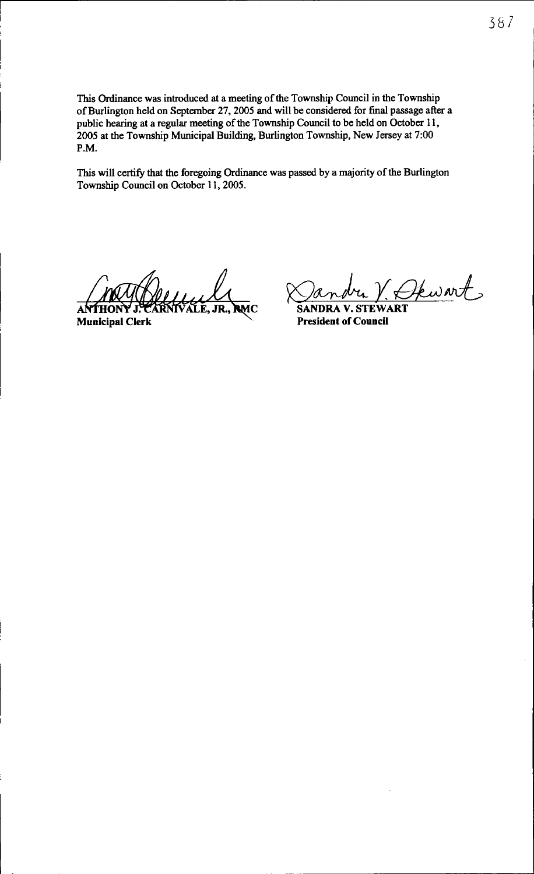This Ordinance was introduced at a meeting of the Township Council in the Township of Burlington held on September 27, 2005 and will be considered for final passage after a public hearing at a regular meeting of the Township Council to be held on October 11, 2005 at the Township Municipal Building, Burlington Township, New Jersey at 7:00 P.M.

This will certify that the foregoing Ordinance was passed by a majority of the Burlington Township Council on October 11, 2005.

WWWWWALE, JR., RMC<br>ANTHONY J. CARNIVALE, JR., RMC<br>Municipal Clerk

~~tetw~ **SANDRA V. STEW ART** 

**President of Council** 

. --~- ~~ ------ ----------------------------------'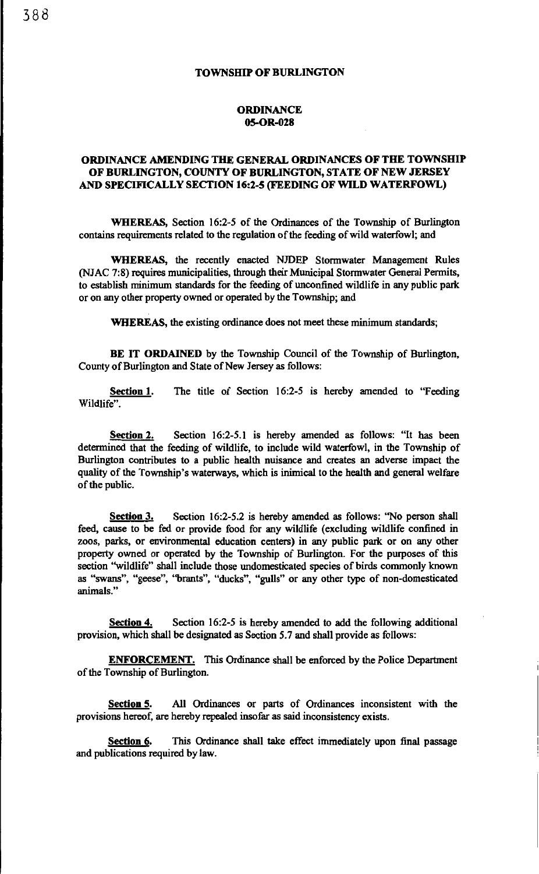### **TOWNSHIP OF BURLINGTON**

#### **ORDINANCE 05-0R-028**

### **ORDINANCE AMENDING THE GENERAL ORDINANCES OF THE TOWNSHIP OF BURLINGTON, COUNTY OF BURLINGTON, STATE OF NEW JERSEY AND SPECIFICALLY SECTION 16:2-5 (FEEDING OF WILD WATERFOWL)**

**WHEREAS,** Section 16:2-5 of the Ordinances of the Township of Burlington contains requirements related to the regulation of the feeding of wild waterfowl; and

**WHEREAS,** the recently enacted NJDEP Stormwater Management Rules (NJAC 7:8) requires municipalities, through their Municipal Stormwater General Permits, to establish minimum standards for the feeding of unconfined wildlife in any public park or on any other property owned or operated by the Township; and

**WHEREAS,** the existing ordinance does not meet these minimum standards;

**BE IT ORDAINED** by the Township Council of the Township of Burlington, County of Burlington and State of New Jersey as follows:

**Section 1.** The title of Section 16:2-5 is hereby amended to "Feeding Wildlife".

**Section** 2. Section 16:2-5.1 is hereby amended as follows: "It has been determined that the feeding of wildlife, to include wild waterfowl, in the Township of Burlington contributes to a public health nuisance and creates an adverse impact the quality of the Township's waterways, which is inimical to the health and general welfare of the public.

**Section** 3. Section 16:2-5.2 is hereby amended as follows: "No person shall feed, cause to be fed or provide food for any wildlife (excluding wildlife confined in zoos, parks, or environmental education centers) in any public park or on any other property owned or operated by the Township of Burlington. For the purposes of this section "wildlife" shall include those undomesticated species of birds commonly known as "swans", "geese", ''brants", "ducks'', "gulls" or any other type of non-domesticated animals."

**Section 4.** Section 16:2-5 is hereby amended to add the following additional provision, which shall be designated as Section *5.* 7 and shall provide as follows:

**ENFORCEMENT.** This Ordinance shall be enforced by the Police Department of the Township of Burlington.

**Section 5.** All Ordinances or parts of Ordinances inconsistent with the provisions hereof, are hereby repealed insofar as said inconsistency exists.

**Section 6.** This Ordinance shall take effect immediately upon final passage and publications required by law.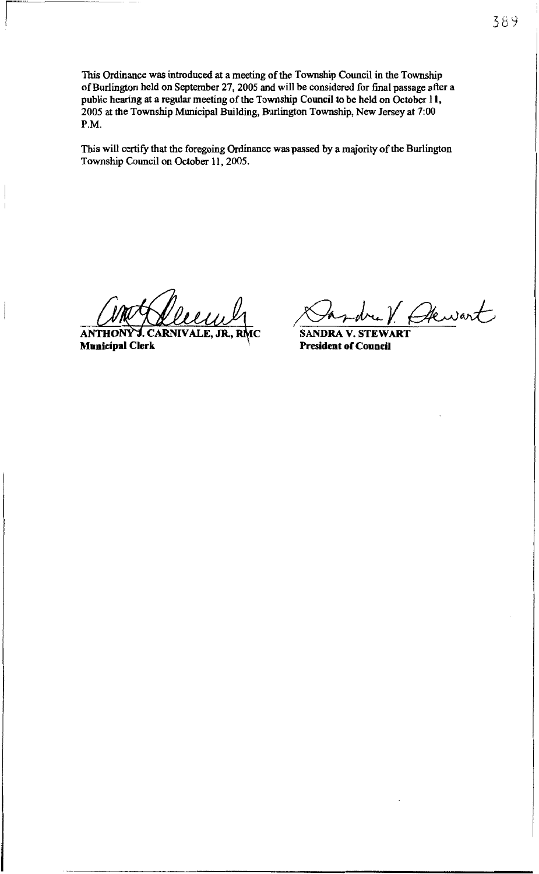This Ordinance was introduced at a meeting of the Township Council in the Township of Burlington held on September 27, 2005 and will be considered for final passage after a public hearing at a regular meeting of the Township Council to be held on October 11, 2005 at the Township Municipal Building, Burlington Township, New Jersey at 7:00 P,M.

This will certify that the foregoing Ordinance was passed by a majority of the Burlington Township Council on October 11, 2005.

**Municipal Clerk** ANTHONY J. CARNIVALE, JR., R.

Shrdre/ Chewart

President of Council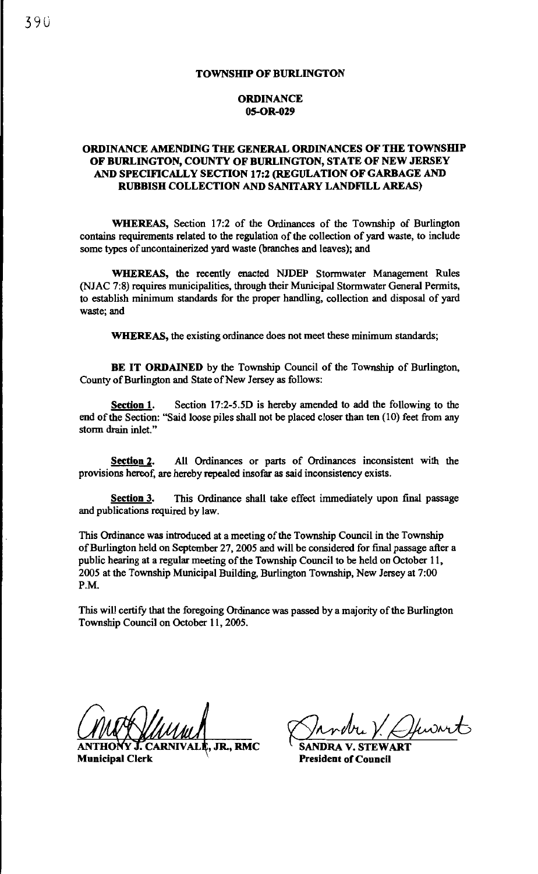## **ORDINANCE** 05-0R-029

### ORDINANCE AMENDING THE GENERAL ORDINANCES OF THE TOWNSHIP OF BURLINGTON, COUNTY OF BURLINGTON, STATE OF NEW JERSEY AND SPECIFICALLY SECTION 17:2 (REGULATION OF GARBAGE AND RUBBISH COLLECTION AND SANITARY LANDFILL AREAS)

WHEREAS, Section 17:2 of the Ordinances of the Township of Burlington contains requirements related to the regulation of the collection of yard waste, to include some types of uncontainerized yard waste (branches and leaves); and

WHEREAS, the recently enacted NJDEP Stormwater Management Rules (NJAC 7:8) requires municipalities, through their Municipal Stormwater General Permits, to establish minimum standards for the proper handling, collection and disposal of yard waste; and

WHEREAS, the existing ordinance does not meet these minimum standards;

BE IT ORDAINED by the Township Council of the Township of Burlington, County of Burlington and State of New Jersey as follows:

Section 1. Section 17:2-5.5D is hereby amended to add the following to the end of the Section: "Said loose piles shall not be placed closer than ten (10) feet from any storm drain inlet."

Section 2. All Ordinances or parts of Ordinances inconsistent with the provisions hereof, are hereby repealed insofar as said inconsistency exists.

Section 3. This Ordinance shall take effect immediately upon final passage and publications required by Jaw.

This Ordinance was introduced at a meeting of the Township Council in the Township of Burlington held on September 27, 2005 and will be considered for final passage after a public hearing at a regular meeting of the Township Council to be held on October 11, 2005 at the Township Municipal Building, Burlington Township, New Jersey at 7:00 P.M.

This will certify that the foregoing Ordinance was passed by a majority of the Burlington Township Council on October 11, 2005.

Municipal Clerk

 $\overline{J}$ , JR., RMC SANDRA V. STEWART

President of Council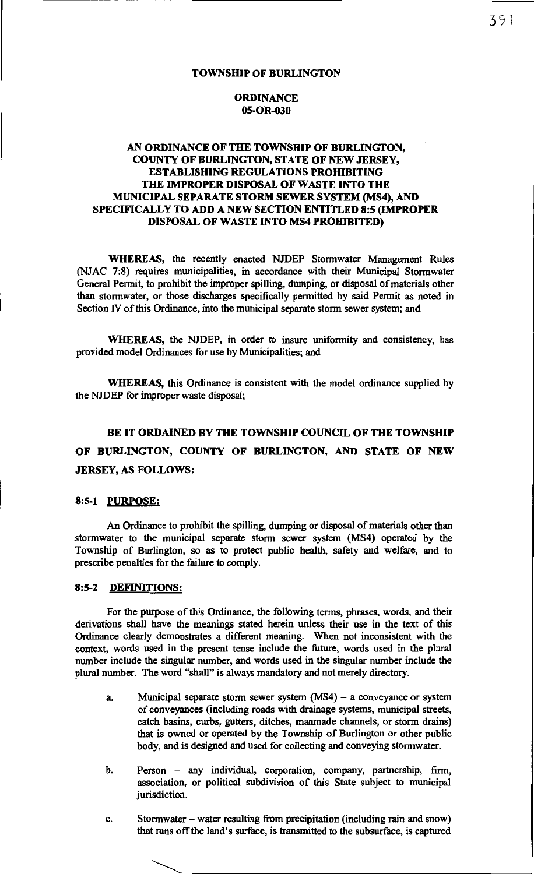### **ORDINANCE** 05-0R-030

### AN ORDINANCE OF THE TOWNSHIP OF BURLINGTON, COUNTY OF BURLINGTON, STATE OF NEW JERSEY, ESTABLISHING REGULATIONS PROHIBITING THE IMPROPER DISPOSAL OF WASTE INTO THE MUNICIPAL SEPARATE STORM SEWER SYSTEM (MS4), AND SPECIFICALLY TO ADD A NEW SECTION ENTITLED 8:5 (IMPROPER DISPOSAL OF WASTE INTO MS4 PROHIBITED)

WHEREAS, the recently enacted NJDEP Stormwater Management Rules (NJAC 7:8) requires municipalities, in accordance with their Municipal Stormwater General Permit, to prohibit the improper spilling, dumping, or disposal of materials other than stormwater, or those discharges specifically permitted by said Permit as noted in Section N of this Ordinance, into the municipal separate storm sewer system; and

WHEREAS, the NJDEP, in order to insure uniformity and consistency, has provided model Ordinances for use by Municipalities; and

WHEREAS, this Ordinance is consistent with the model ordinance supplied by the NJDEP for improper waste disposal;

# BE IT ORDAINED BY THE TOWNSHIP COUNCIL OF THE TOWNSHIP OF BURLINGTON, COUNTY OF BURLINGTON, AND STATE OF NEW JERSEY, AS FOLLOWS:

#### 8:5-1 PURPOSE:

An Ordinance to prohibit the spilling, dumping or disposal of materials other than stormwater to the municipal separate storm sewer system (MS4) operated by the Township of Burlington, so as to protect public health, safety and welfare, and to prescribe penalties for the failure to comply.

#### 8:5-2 DEFINITIONS:

For the purpose of this Ordinance, the following terms, phrases, words, and their derivations shall have the meanings stated herein unless their use in the text of this Ordinance clearly demonstrates a different meaning. When not inconsistent with the context, words used in the present tense include the future, words used in the plural number include the singular number, and words used in the singular number include the plural number. The word "shall" is always mandatory and not merely directory.

- a. Municipal separate storm sewer system  $(MS4)$  a conveyance or system of conveyances (including roads with drainage systems, municipal streets, catch basins, curbs, gutters, ditches, manmade channels, or storm drains) that is owned or operated by the Township of Burlington or other public body, and is designed and used for collecting and conveying stormwater.
- b. Person any individual, corporation, company, partnership, firm, association, or political subdivision of this State subject to municipal jurisdiction.
- c. Stormwater water resulting from precipitation (including rain and snow) that runs off the land's surface, is transmitted to the subsurface, is captured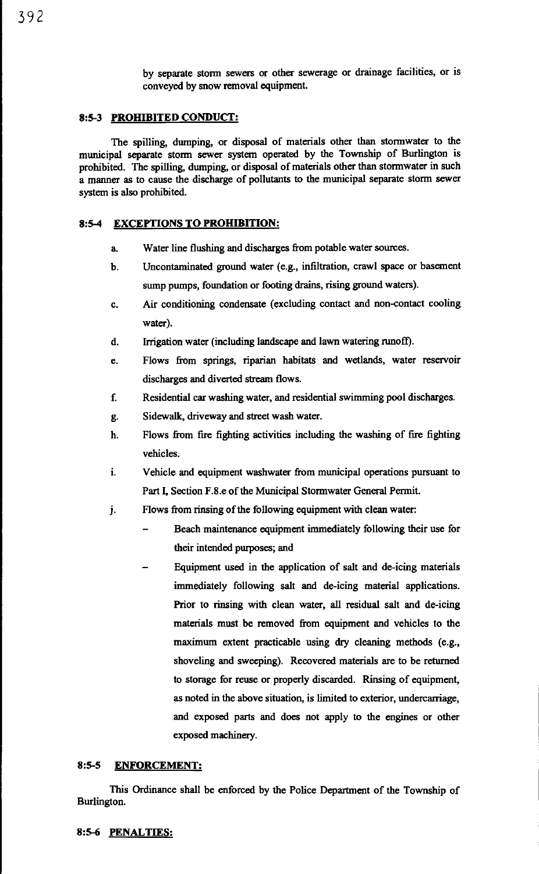### 8:5-3 PROHIBITED CONDUCT:

The spilling, dumping, or disposal of materials other than stormwater to the municipal separate storm sewer system operated by the Township of Burlington is prohibited. The spilling, dumping, or disposal of materials other than stormwater in such a manner as to cause the discharge of pollutants to the municipal separate storm sewer system is also prohibited.

### 8:5-4 EXCEPTIONS TO PROHIBITION:

- a. Water line flushing and discharges from potable water sources.
- b. Uncontaminated ground water (e.g., infiltration, crawl space or basement sump pumps, foundation or footing drains, rising ground waters).
- c. Air conditioning condensate (excluding contact and non-contact cooling water).
- d. Irrigation water (including landscape and lawn watering runoff).
- e. Flows from springs, riparian habitats and wetlands, water reservoir discharges and diverted stream flows.
- f. Residential car washing water, and residential swimming pool discharges.
- g. Sidewalk, driveway and street wash water.
- h. Flows from fire fighting activities including the washing of fire fighting vehicles.
- 1. Vehicle and equipment washwater from municipal operations pursuant to Part I, Section F.8.e of the Municipal Stormwater General Permit.
- J. Flows from rinsing of the following equipment with clean water:
	- Beach maintenance equipment immediately following their use for their intended purposes; and
	- Equipment used in the application of salt and de-icing materials immediately following salt and de-icing material applications. Prior to rinsing with clean water, all residual salt and de-icing materials must be removed from equipment and vehicles to the maximum extent practicable using dry cleaning methods (e.g., shoveling and sweeping). Recovered materials are to be returned to storage for reuse or properly discarded. Rinsing of equipment, as noted in the above situation, is limited to exterior, undercarriage, and exposed parts and does not apply to the engines or other exposed machinery.

### 8:5-S ENFORCEMENT:

This Ordinance shall be enforced by the Police Department of the Township of Burlington.

### 8:5-6 PENALTIES: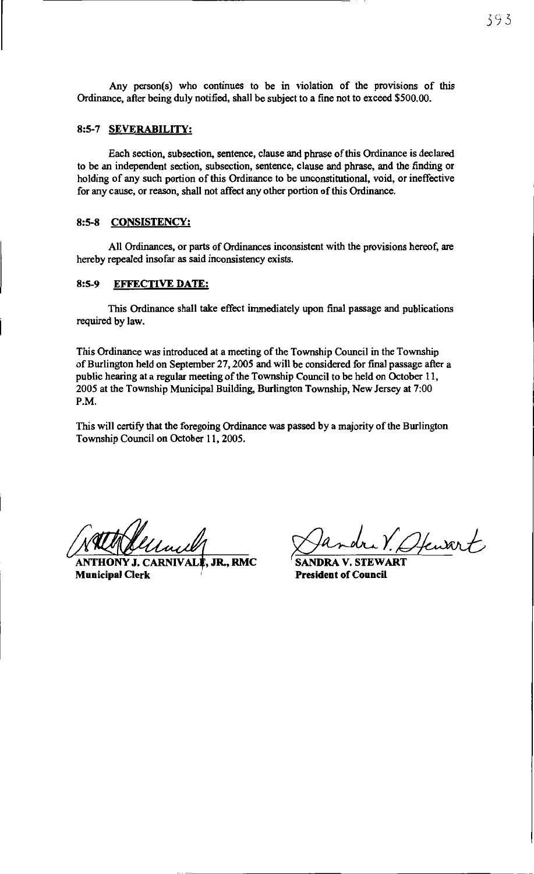Any person(s) who continues to be in violation of the provisions of this Ordinance, after being duly notified, shall be subject to a fine not to exceed \$500.00.

### 8:5-7 SEVERABILITY:

Each section, subsection, sentence, clause and phrase of this Ordinance is declared to be an independent section, subsection, sentence, clause and phrase, and the finding or holding of any such portion of this Ordinance to be unconstitutional, void, or ineffective for any cause, or reason, shall not affect any other portion of this Ordinance.

### 8:5-8 CONSISTENCY;

All Ordinances, or parts of Ordinances inconsistent with the provisions hereof, are hereby repealed insofar as said inconsistency exists.

### 8:5-9 EFFECTIVE DATE:

This Ordinance shall take effect immediately upon final passage and publications required by Jaw.

This Ordinance was introduced at a meeting of the Township Council in the Township of Burlington held on September 27, 2005 and will be considered for final passage after a public hearing at a regular meeting of the Township Council to be held on October 11, 2005 at the Township Municipal Building, Burlington Township, New Jersey at 7:00 P.M.

This will certify that the foregoing Ordinance was passed by a majority of the Burlington Township Council on October 11, 2005.

HONY J. CARNIVALÈ. JR., RMC Municipal Clerk

Sandra V. (Hewart)<br>SANDRA V. STEWART<br>President of Council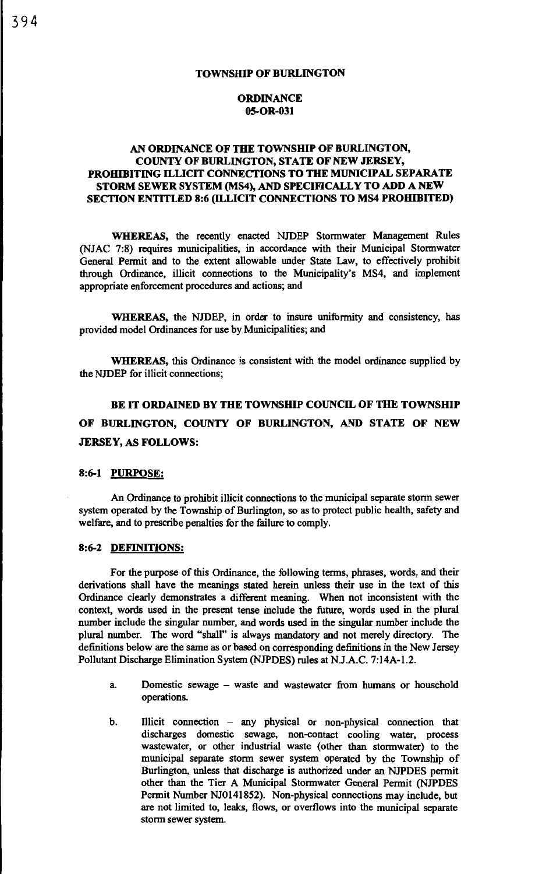### **ORDINANCE** 05-0R-031

### AN ORDINANCE OF THE TOWNSHIP OF BURLINGTON, COUNTY OF BURLINGTON, STATE OF NEW JERSEY, PROHIBITING ILLICIT CONNECTIONS TO THE MUNICIPAL SEPARATE STORM SEWER SYSTEM (MS4), AND SPECIFICALLY TO ADD A NEW SECTION ENTITLED 8:6 (ILLICIT CONNECTIONS TO MS4 PROHIBITED)

WHEREAS, the recently enacted NJDEP Stormwater Management Rules (NJAC 7:8) requires municipalities, in accordance with their Municipal Stormwater General Permit and to the extent allowable under State Law, to effectively prohibit through Ordinance, illicit connections to the Municipality's MS4, and implement appropriate enforcement procedures and actions; and

WHEREAS, the NJDEP, in order to insure uniformity and consistency, has provided model Ordinances for use by Municipalities; and

WHEREAS, this Ordinance is consistent with the model ordinance supplied by the NJDEP for illicit connections;

BE IT ORDAINED BY THE TOWNSHIP COUNCIL OF THE TOWNSHIP OF BURLINGTON, COUNTY OF BURLINGTON, AND STATE OF NEW JERSEY, AS FOLLOWS:

### 8:6-1 PURPOSE:

An Ordinance to prohibit illicit connections to the municipal separate storm sewer system operated by the Township of Burlington, so as to protect public health, safety and welfare, and to prescribe penalties for the failure to comply.

#### 8:6-2 DEFINITIONS:

For the purpose of this Ordinance, the following terms, phrases, words, and their derivations shall have the meanings stated herein unless their use in the text of this Ordinance clearly demonstrates a different meaning. When not inconsistent with the context, words used in the present tense include the future, words used in the plural number include the singular number, and words used in the singular number include the plural number. The word "shall'' is always mandatory and not merely directory. The definitions below are the same as or based on corresponding definitions in the New Jersey Pollutant Discharge Elimination System (NJPDES) rules at N.J.A.C. 7:14A-1.2.

- a. Domestic sewage waste and wastewater from humans or household operations.
- b. Illicit connection any physical or non-physical connection that discharges domestic sewage, non-contact cooling water, process wastewater, or other industrial waste (other than stormwater) to the municipal separate storm sewer system operated by the Township of Burlington, unless that discharge is authorized under an NJPDES permit other than the Tier A Municipal Stormwater General Permit (NJPDES Permit Number NJ0141852). Non-physical connections may include, but are not limited to, leaks, flows, or overflows into the municipal separate storm sewer system.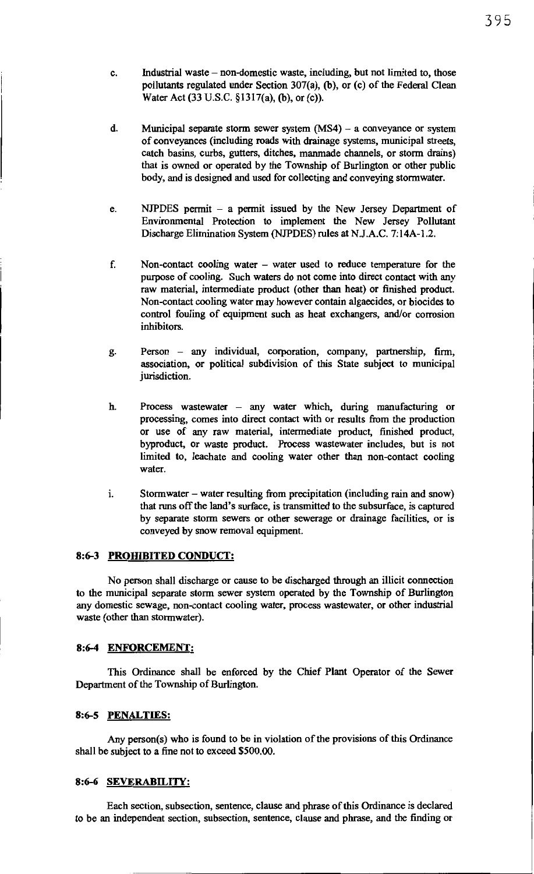- c. Industrial waste non-domestic waste, including, but not limited to, those pollutants regulated under Section 307(a), (b), or (c) of the Federal Clean Water Act (33 U.S.C. §1317(a), (b), or (c)).
- d. Municipal separate storm sewer system (MS4) a conveyance or system of conveyances (including roads with drainage systems, municipal streets, catch basins, curbs, gutters, ditches, manmade channels, or storm drains) that is owned or operated by the Township of Burlington or other public body, and is designed and used for collecting and conveying stormwater.
- e. NJPDES permit a permit issued by the New Jersey Department of Environmental Protection to implement the New Jersey Pollutant Discharge Elimination System (NJPDES) rules at N.J.A.C. 7:14A-l.2.
- f. Non-contact cooling water water used to reduce temperature for the purpose of cooling. Such waters do not come into direct contact with any raw material, intermediate product (other than heat) or finished product. Non-contact cooling water may however contain algaecides, or biocides to control fouling of equipment such as heat exchangers, and/or corrosion inhibitors.
- g. Person any individual, corporation, company, partnership, firm, association, or political subdivision of this State subject to municipal jurisdiction.
- h. Process wastewater any water which, during manufacturing or processing, comes into direct contact with or results from the production or use of any raw material, intermediate product, finished product, byproduct, or waste product. Process wastewater includes, but is not limited to, leachate and cooling water other than non-contact cooling water.
- 1. Stormwater water resulting from precipitation (including rain and snow) that runs off the land's surface, is transmitted to the subsurface, is captured by separate storm sewers or other sewerage or drainage facilities, or is conveyed by snow removal equipment.

#### 8:6-3 **PROHIBITED CONDUCT:**

No person shall discharge or cause to be discharged through an illicit connection to the municipal separate storm sewer system operated by the Township of Burlington any domestic sewage, non-contact cooling water, process wastewater, or other industrial waste (other than stormwater).

#### 8:6-4 ENFORCEMENT:

This Ordinance shall be enforced by the Chief Plant Operator of the Sewer Department of the Township of Burlington.

### 8:6-S PENALTIES:

Any person(s) who is found to be in violation of the provisions of this Ordinance shall be subject to a fine not to exceed \$500.00.

#### 8:6-6 SEVERABILITY:

Each section, subsection, sentence, clause and phrase of this Ordinance is declared to be an independent section, subsection, sentence, clause and phrase, and the finding or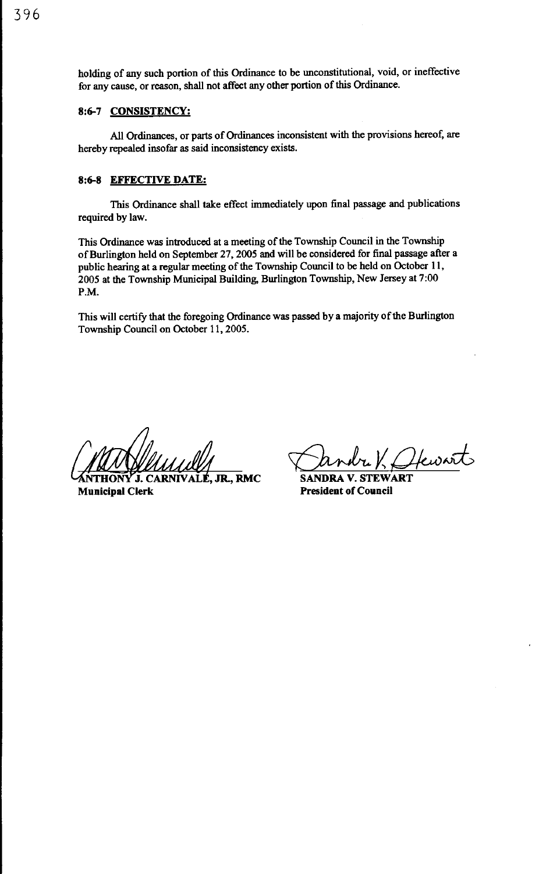holding of any such portion of this Ordinance to be unconstitutional, void, or ineffective for any cause, or reason, shall not affect any other portion of this Ordinance.

### **8:6-7 CONSISTENCY:**

All Ordinances, or parts of Ordinances inconsistent with the provisions hereof, are hereby repealed insofar as said inconsistency exists.

### **8:6-8 EFFECTIVE DATE:**

This Ordinance shall take effect immediately upon final passage and publications required by law.

This Ordinance was introduced at a meeting of the Township Council in the Township of Burlington held on September 27, 2005 and will be considered for final passage after a public hearing at a regular meeting of the Township Council to be held on October **11,**  2005 at the Township Municipal Building, Burlington Township, New Jersey at 7:00 P.M.

This will certify that the foregoing Ordinance was passed by a majority of the Burlington Township Council on October 11, 2005.

**,JR.,RMC Municipal Clerk** 

~Y:Qkd **SANDRA V. STEWART** 

**President of Council**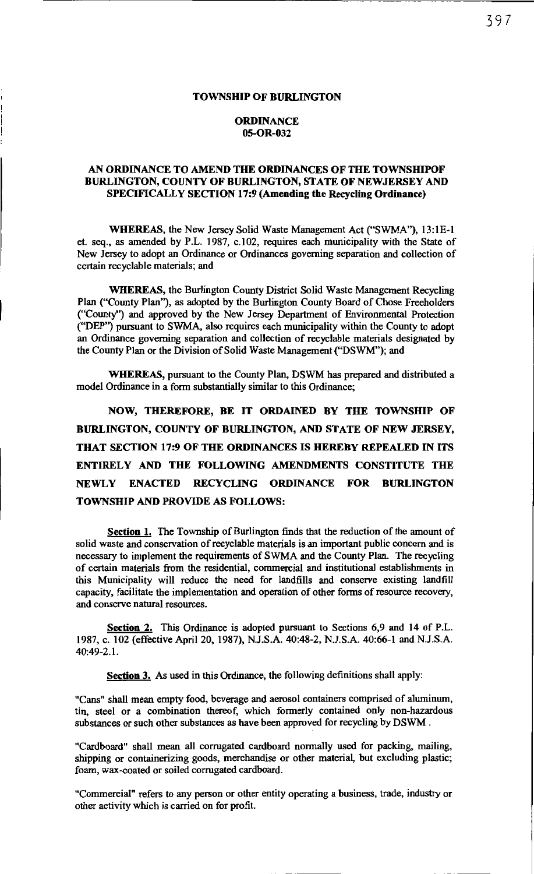#### TOWNSHIP OF BURLINGTON

### **ORDINANCE** 05-0R-032

### AN ORDINANCE TO AMEND THE ORDINANCES OF THE TOWNSHIPOF BURLINGTON, COUNTY OF BURLINGTON, STATE OF NEWJERSEY AND SPECIFICALLY SECTION 17:9 (Amending the Recycling Ordinance)

WHEREAS, the New Jersey Solid Waste Management Act ("SWMA"), 13:1E-l et. seq., as amended by P.L. 1987, c.102, requires each municipality with the State of New Jersey to adopt an Ordinance or Ordinances governing separation and collection of certain recyclable materials; and

WHEREAS, the Burlington County District Solid Waste Management Recycling Plan ("County Plan''), as adopted by the Burlington County Board of Chose Freeholders ("County'') and approved by the New Jersey Department of Environmental Protection ("DEP'') pursuant to SWMA, also requires each municipality within the County to adopt an Ordinance governing separation and collection of recyclable materials designated by the County Plan or the Division of Solid Waste Management (''DSWM"); and

WHEREAS, pursuant to the County Plan, DSWM has prepared and distributed a model Ordinance in a form substantially similar to this Ordinance;

NOW, THEREFORE, BE IT ORDAINED BY THE TOWNSHIP OF BURLINGTON, COUNTY OF BURLINGTON, AND STATE OF NEW JERSEY, THAT SECTION 17:9 OF THE ORDINANCES IS HEREBY REPEALED IN ITS ENTIRELY AND THE FOLLOWING AMENDMENTS CONSTITUTE THE NEWLY ENACTED RECYCLING ORDINANCE FOR BURLINGTON TOWNSHIP AND PROVIDE AS FOLLOWS:

Section 1. The Township of Burlington finds that the reduction of the amount of solid waste and conservation of recyclable materials is an important public concern and is necessary to implement the requirements of SWMA and the County Plan. The recycling of certain materials from the residential, commercial and institutional establishments in this Municipality will reduce the need for landfills and conserve existing landfill capacity, facilitate the implementation and operation of other forms of resource recovery, and conserve natural resources.

Section 2. This Ordinance is adopted pursuant to Sections 6,9 and 14 of P.L. 1987, c. 102 (effective April 20, 1987), N.J.S.A. 40:48-2, N.J.S.A. 40:66-1 and N.J.S.A. 40:49-2.1.

Section 3. As used in this Ordinance, the following definitions shall apply:

"Cans" shall mean empty food, beverage and aerosol containers comprised of aluminum, tin, steel or a combination thereof, which formerly contained only non-hazardous substances or such other substances as have been approved for recycling by DSWM .

"Cardboard" shall mean all corrugated cardboard normally used for packing, mailing, shipping or containerizing goods, merchandise or other material, but excluding plastic; foam, wax-coated or soiled corrugated cardboard.

"Commercial" refers to any person or other entity operating a business, trade, industry or other activity which is carried on for profit.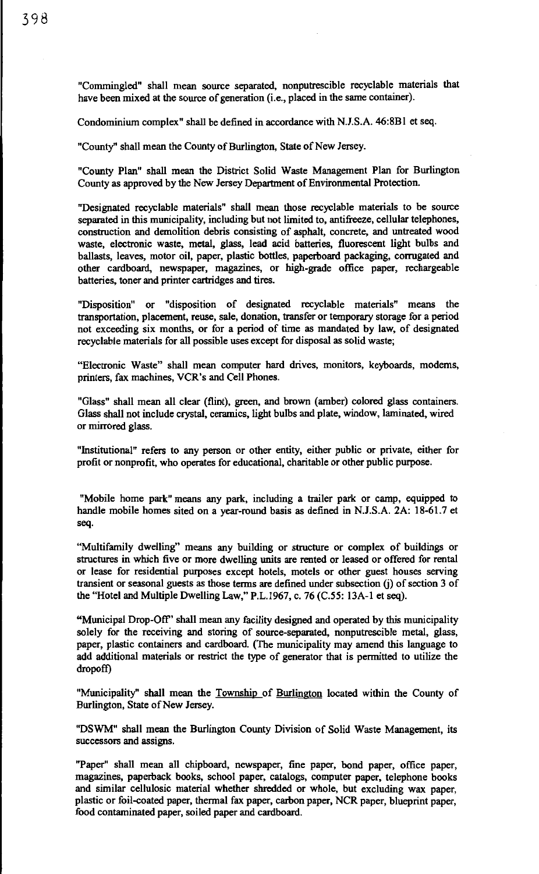"Commingled" shall mean source separated, nonputrescible recyclable materials that have been mixed at the source of generation (i.e., placed in the same container).

Condominium complex" shall be defined in accordance with N.J.S.A. 46:8Bl et seq.

"County" shall mean the County of Burlington, State of New Jersey.

"County Plan" shall mean the District Solid Waste Management Plan for Burlington County as approved by the New Jersey Department of Environmental Protection.

"Designated recyclable materials" shall mean those recyclable materials to be source separated in this municipality, including but not limited to, antifreeze, cellular telephones, construction and demolition debris consisting of asphalt, concrete, and untreated wood waste, electronic waste, metal, glass, lead acid batteries, fluorescent light bulbs and ballasts, leaves, motor oil, paper, plastic bottles, paperboard packaging, corrugated and other cardboard, newspaper, magazines, or high-grade office paper, rechargeable batteries, toner and printer cartridges and tires.

"Disposition" or "disposition of designated recyclable materials" means the transportation, placement, reuse, sale, donation, transfer or temporary storage for a period not exceeding six months, or for a period of time as mandated by law, of designated recyclable materials for all possible uses except for disposal as solid waste;

"Electronic Waste" shall mean computer hard drives, monitors, keyboards, modems, printers, fax machines, VCR's and Cell Phones.

"Glass" shall mean all clear (flint), green, and brown (amber) colored glass containers. Glass shall not include crystal, ceramics, light bulbs and plate, window, laminated, wired or mirrored glass.

"Institutional" refers to any person or other entity, either public or private, either for profit or nonprofit, who operates for educational, charitable or other public purpose.

"Mobile home park" means any park, including a trailer park or camp, equipped to handle mobile homes sited on a year-round basis as defined in N.J.S.A. 2A: 18-61.7 et seq.

"Multifamily dwelling" means any building or structure or complex of buildings or structures in which five or more dwelling units are rented or leased or offered for rental or lease for residential purposes except hotels, motels or other guest houses serving transient or seasonal guests as those terms are defined under subsection (j) of section 3 of the "Hotel and Multiple Dwelling Law," P.L.1967, c. 76 (C.55: 13A-1 et seq).

"Municipal Drop-Off' shall mean any facility designed and operated by this municipality solely for the receiving and storing of source-separated, nonputrescible metal, glass, paper, plastic containers and cardboard. (The municipality may amend this language to add additional materials or restrict the type of generator that is permitted to utilize the dropoff)

"Municipality" shall mean the Township of Burlington located within the County of Burlington, State of New Jersey.

"DSWM" shall mean the Burlington County Division of Solid Waste Management, its successors and assigns.

"Paper" shall mean all chipboard, newspaper, fine paper, bond paper, office paper, magazines, paperback books, school paper, catalogs, computer paper, telephone books and similar cellulosic material whether shredded or whole, but excluding wax paper, plastic or foil-coated paper, thermal fax paper, carbon paper, NCR paper, blueprint paper, food contaminated paper, soiled paper and cardboard.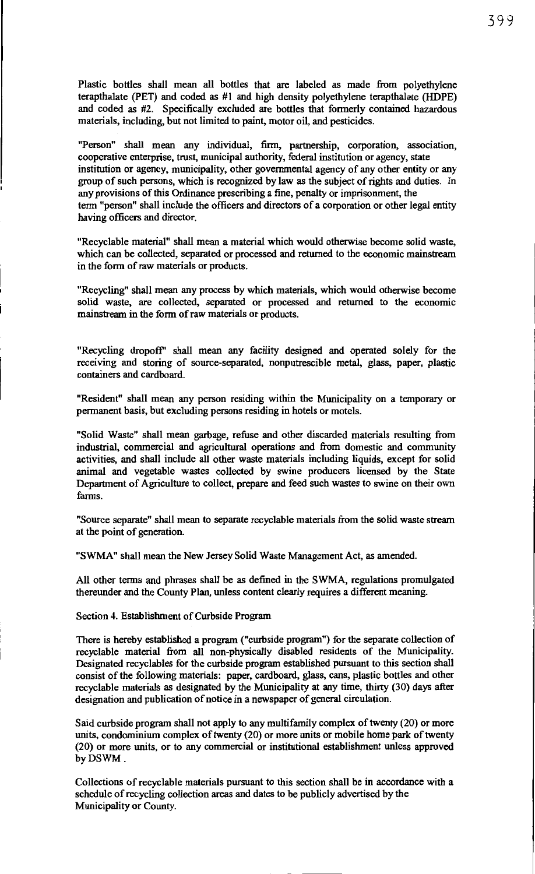Plastic bottles shall mean all bottles that are labeled as made from polyethylene terapthalate (PET) and coded as #1 and high density polyethylene terapthalate (HDPE) and coded as #2. Specifically excluded are bottles that formerly contained hazardous materials, including, but not limited to paint, motor oil, and pesticides.

"Person" shall mean any individual, firm, partnership, corporation, association, cooperative enterprise, trust, municipal authority, federal institution or agency, state institution or agency, municipality, other governmental agency of any other entity or any group of such persons, which is recognized by law as the subject of rights and duties. In any provisions of this Ordinance prescribing a fine, penalty or imprisonment, the term "person" shall include the officers and directors of a corporation or other legal entity having officers and director.

"Recyclable material" shall mean a material which would otherwise become solid waste, which can be collected, separated or processed and returned to the economic mainstream in the form of raw materials or products.

"Recycling" shall mean any process by which materials, which would otherwise become solid waste, are collected, separated or processed and returned to the economic mainstream in the form of raw materials or products.

"Recycling dropoft" shall mean any facility designed and operated solely for the receiving and storing of source-separated, nonputrescible metal, glass, paper, plastic containers and cardboard.

"Resident" shall mean any person residing within the Municipality on a temporary or permanent basis, but excluding persons residing in hotels or motels.

"Solid Waste" shall mean garbage, refuse and other discarded materials resulting from industrial, commercial and agricultural operations and from domestic and community activities, and shall include all other waste materials including liquids, except for solid animal and vegetable wastes collected by swine producers licensed by the State Department of Agriculture to collect, prepare and feed such wastes to swine on their own farms.

"Source separate" shall mean to separate recyclable materials from the solid waste stream at the point of generation.

"SWMA" shall mean the New Jersey Solid Waste Management Act, as amended.

All other terms and phrases shall be as defined in the SWMA, regulations promulgated thereunder and the County Plan, unless content clearly requires a different meaning.

Section 4. Establishment of Curbside Program

There is hereby established a program ("curbside program") for the separate collection of recyclable material from all non-physically disabled residents of the Municipality. Designated recyclables for the curbside program established pursuant to this section shall consist of the following materials: paper, cardboard, glass, cans, plastic bottles and other recyclable materials as designated by the Municipality at any time, thirty (30) days after designation and publication of notice in a newspaper of general circulation.

Said curbside program shall not apply to any multifamily complex of twenty (20) or more units, condominium complex of twenty (20) or more units or mobile home park of twenty (20) or more units, or to any commercial or institutional establishment unless approved by DSWM.

Collections of recyclable materials pursuant to this section shall be in accordance with a schedule of recycling collection areas and dates to be publicly advertised by the Municipality or County.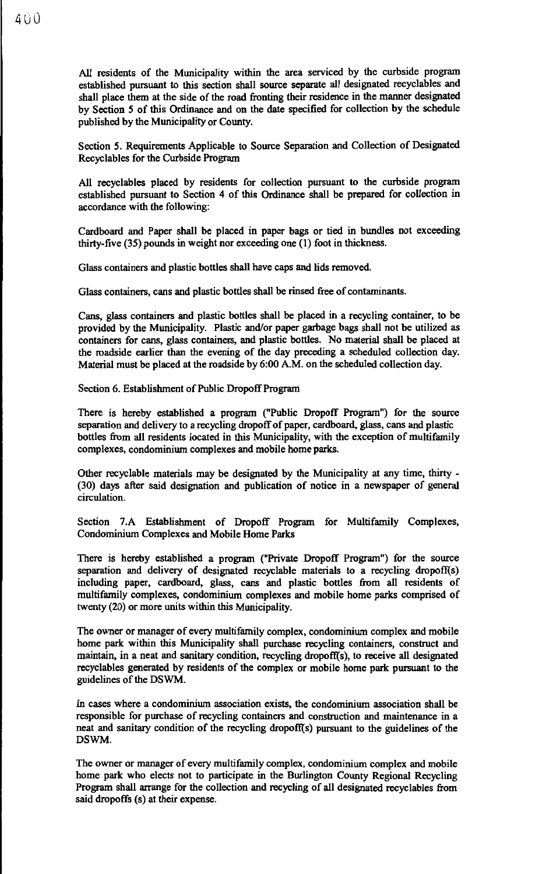All residents of the Municipality within the area serviced by the curbside program established pursuant to this section shall source separate all designated recyclables and shall place them at the side of the road fronting their residence in the manner designated by Section 5 of this Ordinance and on the date specified for collection by the schedule published by the Municipality or County.

Section 5. Requirements Applicable to Source Separation and Collection of Designated Recyclables for the Curbside Program

All recyclables placed by residents for collection pursuant to the curbside program established pursuant to Section 4 of this Ordinance shall be prepared for collection in accordance with the following:

Cardboard and Paper shall be placed in paper bags or tied in bundles not exceeding thirty-five (35) pounds in weight nor exceeding one (1) foot in thickness.

Glass containers and plastic bottles shall have caps and lids removed.

Glass containers, cans and plastic bottles shall be rinsed free of contaminants.

Cans, glass containers and plastic bottles shall be placed in a recycling container, to be provided by the Municipality. Plastic and/or paper garbage bags shall not be utilized as containers for cans, glass containers, and plastic bottles. No material shall be placed at the roadside earlier than the evening of the day preceding a scheduled collection day. Material must be placed at the roadside by 6:00 A.M. on the scheduled collection day.

Section 6. Establishment of Public Dropoff Prograni

There is hereby established a program ("Public Dropoff Program") for the source separation and delivery to a recycling dropoff of paper, cardboard, glass, cans and plastic bottles from all residents located in this Municipality, with the exception of multifamily complexes, condominium complexes and mobile home parks.

Other recyclable materials may be designated by the Municipality at any time, thirty - (30) days after said designation and publication of notice in a newspaper of general circulation.

Section 7.A Establishment of Dropoff Program for Multifamily Complexes, Condominium Complexes and Mobile Home Parks

There is hereby established a program ("Private Dropoff Program") for the source separation and delivery of designated recyclable materials to a recycling dropoff(s) including paper, cardboard, glass, cans and plastic bottles from all residents of multifamily complexes, condominium complexes and mobile home parks comprised of twenty (20) or more units within this Municipality.

The owner or manager of every multifamily complex, condominium complex and mobile home park within this Municipality shall purchase recycling containers, construct and maintain, in a neat and sanitary condition, recycling dropofi{s), to receive all designated recyclables generated by residents of the complex or mobile home park pursuant to the guidelines of the DSWM.

In cases where a condominium association exists, the condominium association shall be responsible for purchase of recycling containers and construction and maintenance in a neat and sanitary condition of the recycling dropofi{s) pursuant to the guidelines of the DSWM.

The owner or manager of every multifamily complex, condominium complex and mobile home park who elects not to participate in the Burlington County Regional Recycling Program shall arrange for the collection and recycling of all designated recyclables from said dropoffs (s) at their expense.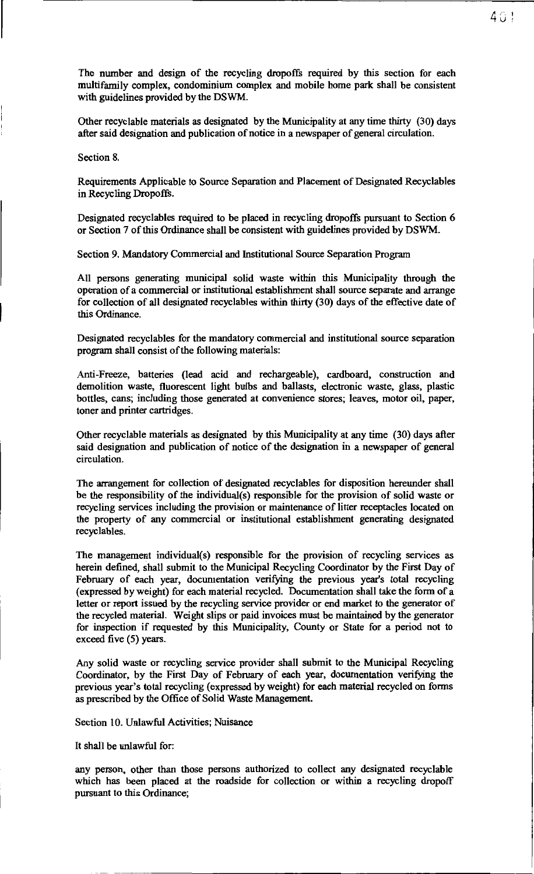The number and design of the recycling dropoffs required by this section for each multifamily complex, condominium complex and mobile home park shall be consistent with guidelines provided by the DSWM.

Other recyclable materials as designated by the Municipality at any time thirty (30) days after said designation and publication of notice in a newspaper of general circulation.

Section 8.

Requirements Applicable to Source Separation and Placement of Designated Recyclables in Recycling Dropoffs.

Designated recyclables required to be placed in recycling dropoffs pursuant to Section 6 or Section 7 of this Ordinance shall be consistent with guidelines provided by DSWM.

Section 9. Mandatory Commercial and Institutional Source Separation Program

All persons generating municipal solid waste within this Municipality through the operation of a commercial or institutional establishment shall source separate and arrange for collection of all designated recyclables within thirty (30) days of the effective date of this Ordinance.

Designated recyclables for the mandatory commercial and institutional source separation program shall consist of the following materials:

Anti-Freeze, batteries (lead acid and rechargeable), cardboard, construction and demolition waste, fluorescent light bulbs and ballasts, electronic waste, glass, plastic bottles, cans; including those generated at convenience stores; leaves, motor oil, paper, toner and printer cartridges.

Other recyclable materials as designated by this Municipality at any time (30) days after said designation and publication of notice of the designation in a newspaper of general circulation.

The arrangement for collection of designated recyclables for disposition hereunder shall be the responsibility of the individual(s) responsible for the provision of solid waste or recycling services including the provision or maintenance of litter receptacles located on the property of any commercial or institutional establishment generating designated recyclables.

The management individual(s) responsible for the provision of recycling services as herein defined, shall submit to the Municipal Recycling Coordinator by the First Day of February of each year, documentation verifying the previous year's total recycling (expressed by weight) for each material recycled. Documentation shall take the form of a letter or report issued by the recycling service provider or end market to the generator of the recycled material. Weight slips or paid invoices must be maintained by the generator for inspection if requested by this Municipality, County or State for a period not to exceed five (5) years.

Any solid waste or recycling service provider shall submit to the Municipal Recycling Coordinator, by the First Day of February of each year, documentation verifying the previous year's total recycling (expressed by weight) for each material recycled on forms as prescribed by the Office of Solid Waste Management.

Section 10. Unlawful Activities; Nuisance

It shall be unlawful for:

any person, other than those persons authorized to collect any designated recyclable which has been placed at the roadside for collection or within a recycling dropoff pursuant to this Ordinance;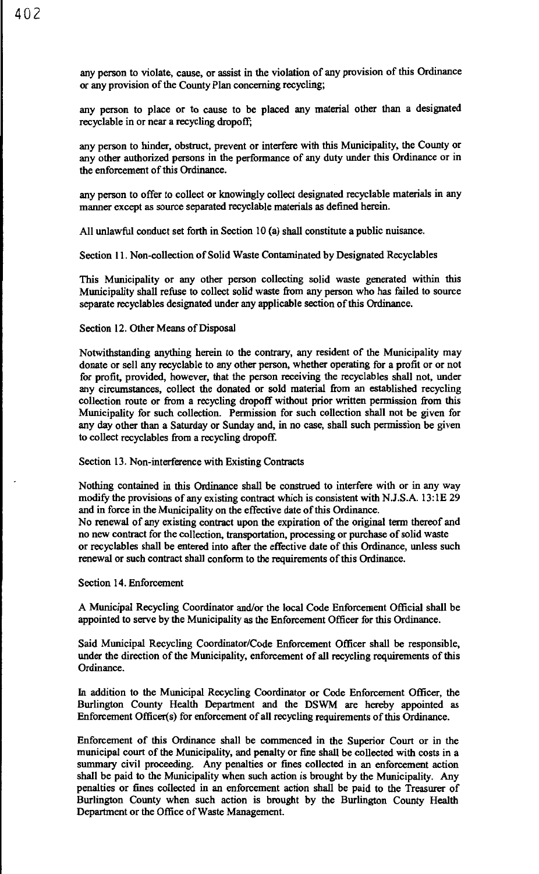any person to violate, cause, or assist in the violation of any provision of this Ordinance or any provision of the County Plan concerning recycling;

any person to place or to cause to be placed any material other than a designated recyclable in or near a recycling dropoff;

any person to hinder, obstruct, prevent or interfere with this Municipality, the County or any other authorized persons in the performance of any duty under this Ordinance or in the enforcement of this Ordinance.

any person to offer to collect or knowingly collect designated recyclable materials in any manner except as source separated recyclable materials as defined herein.

All unlawful conduct set forth in Section IO (a) shall constitute a public nuisance.

Section 11. Non-collection of Solid Waste Contaminated by Designated Recyclables

This Municipality or any other person collecting solid waste generated within this Municipality shall refuse to collect solid waste from any person who has failed to source separate recyclables designated under any applicable section of this Ordinance.

#### Section 12. Other Means of Disposal

Notwithstanding anything herein to the contrary, any resident of the Municipality may donate or sell any recyclable to any other person, whether operating for a profit or or not for profit, provided, however, that the person receiving the recyclables shall not, under any circumstances, collect the donated or sold material from an established recycling collection route or from a recycling dropoff without prior written permission from this Municipality for such collection. Permission for such collection shall not be given for any day other than a Saturday or Sunday and, in no case, shall such permission be given to collect recyclables from a recycling dropoff.

Section 13. Non-interference with Existing Contracts

Nothing contained in this Ordinance shall be construed to interfere with or in any way modify the provisions of any existing contract which is consistent with N.J.S.A. 13: IE 29 and in force in the Municipality on the effective date of this Ordinance.

No renewal of any existing contract upon the expiration of the original term thereof and no new contract for the collection, transportation, processing or purchase of solid waste or recyclables shall be entered into after the effective date of this Ordinance, unless such renewal or such contract shall conform to the requirements of this Ordinance.

#### Section 14. Enforcement

A Municipal Recycling Coordinator and/or the local Code Enforcement Official shall be appointed to serve by the Municipality as the Enforcement Officer for this Ordinance.

Said Municipal Recycling Coordinator/Code Enforcement Officer shall be responsible, under the direction of the Municipality, enforcement of all recycling requirements of this Ordinance.

In addition to the Municipal Recycling Coordinator or Code Enforcement Officer, the Burlington County Health Department and the DSWM are hereby appointed as Enforcement Officer(s) for enforcement of all recycling requirements of this Ordinance.

Enforcement of this Ordinance shall be commenced in the Superior Court or in the municipal court of the Municipality, and penalty or fine shall be collected with costs in a summary civil proceeding. Any penalties or fines collected in an enforcement action shall be paid to the Municipality when such action is brought by the Municipality. Any penalties or fines collected in an enforcement action shall be paid to the Treasurer of Burlington County when such action is brought by the Burlington County Health Department or the Office of Waste Management.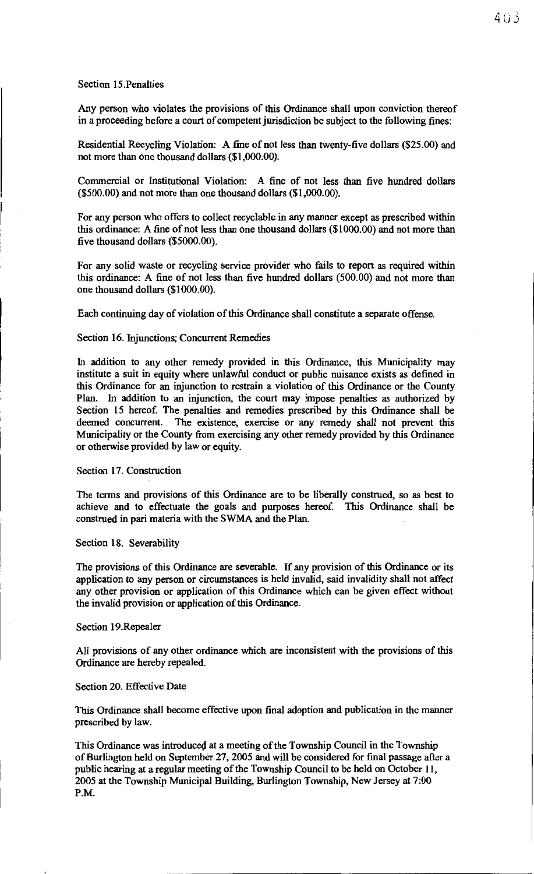### Section 15.Penalties

Any person who violates the provisions of this Ordinance shall upon conviction thereof in a proceeding before a court of competent jurisdiction be subject to the following fines:

Residential Recycling Violation: A fine of not less than twenty-five dollars (\$25.00) and not more than one thousand dollars (\$1,000.00).

Commercial or Institutional Violation: A fine of not less than five hundred dollars (\$500.00) and not more than one thousand dollars (\$1,000.00).

For any person who offers to collect recyclable in any manner except as prescribed within this ordinance: A fine of not less than one thousand dollars (\$1000.00) and not more than five thousand dollars (\$5000.00).

For any solid waste or recycling service provider who fails to report as required within this ordinance: A fine of not less than five hundred dollars (500.00) and not more than one thousand dollars (\$1000.00).

Each continuing day of violation of this Ordinance shall constitute a separate offense.

### Section 16. Injunctions; Concurrent Remedies

In addition to any other remedy provided in this Ordinance, this Municipality may institute a suit in equity where unlawful conduct or public nuisance exists as defined in this Ordinance for an injunction to restrain a violation of this Ordinance or the County Plan. In addition to an injunction, the court may impose penalties as authorized by Section 15 hereof. The penalties and remedies prescribed by this Ordinance shall be deemed concurrent. The existence, exercise or any remedy shall not prevent this Municipality or the County from exercising any other remedy provided by this Ordinance or otherwise provided by law or equity.

Section 17. Construction

The terms and provisions of this Ordinance are to be liberally construed, so as best to achieve and to effectuate the goals and purposes hereof. This Ordinance shall be construed in pari materia with the SWMA and the Plan.

Section 18. Severability

The provisions of this Ordinance are severable. If any provision of this Ordinance or its application to any person or circumstances is held invalid, said invalidity shall not affect any other provision or application of this Ordinance which can be given effect without the invalid provision or application of this Ordinance.

#### Section 19.Repealer

All provisions of any other ordinance which are inconsistent with the provisions of this Ordinance are hereby repealed.

### Section 20. Effective Date

This Ordinance shall become effective upon final adoption and publication in the manner prescribed by law.

This Ordinance was introduced at a meeting of the Township Council in the Township of Burlington held on September 27, 2005 and will be considered for final passage after a public hearing at a regular meeting of the Township Council to be held on October 11, 2005 at the Township Municipal Building, Burlington Township, New Jersey at 7:00 P.M.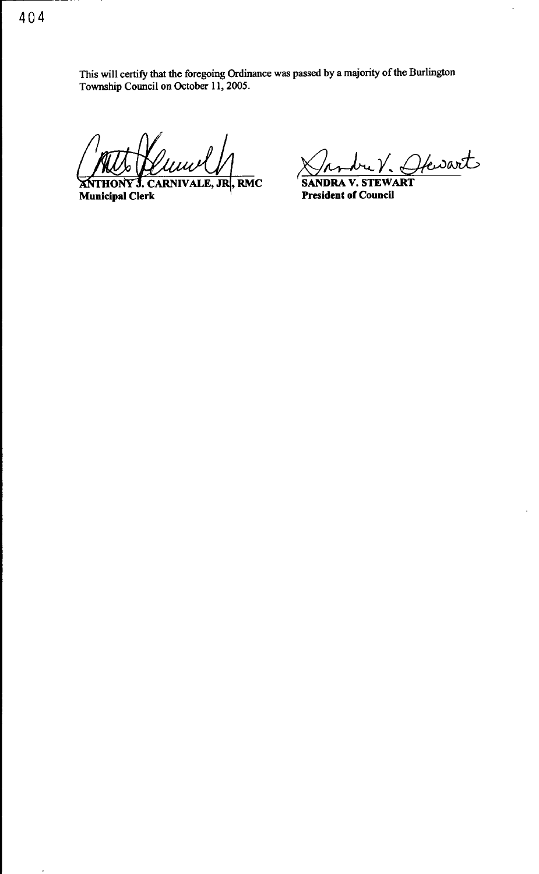This will certify that the foregoing Ordinance was passed by a majority of the Burlington Township Council on October 11, 2005.

J. CARNIVALE, JR, RMC **ANTHONY** Municipal Clerk

<u>Shodre V. Ofewart</u>

President of Council

 $\cdot$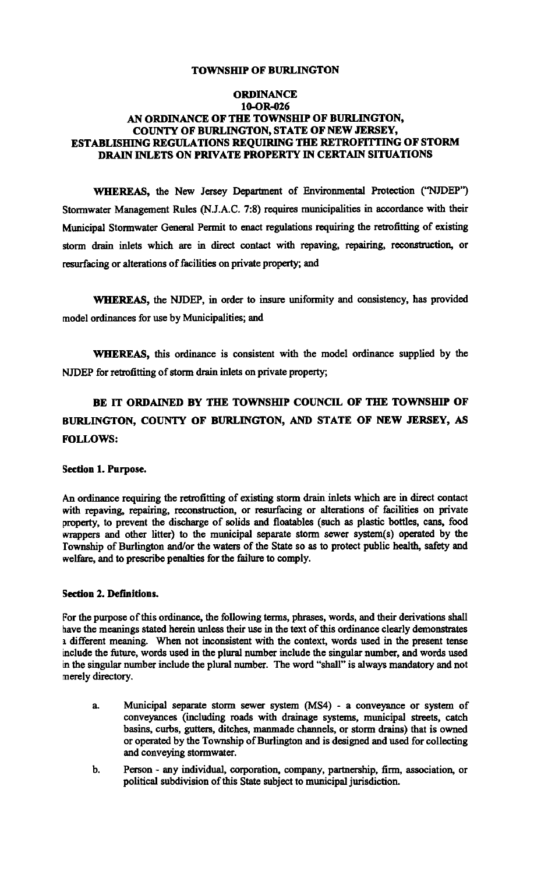### TOWNSHIP OF BURLINGTON

### **ORDINANCE** lO-OR-026 AN ORDINANCE OF THE TOWNSHIP OF BURLINGTON, COUNTY OF BURLINGTON, STATE OF NEW JERSEY, ESTABLISHING REGULATIONS REQUIRING THE RETROFITTING OF STORM DRAIN INLETS ON PRIVATE PROPERTY IN CERTAIN SITUATIONS

WHEREAS, the New Jersey Department of Environmental Protection ("NJDEP'') Stormwater Management Rules (N.J.A.C. 7:8) requires municipalities in accordance with their Municipal Stormwater General Permit to enact regulations requiring the retrofitting of existing storm drain inlets which are in direct contact with repaving, repairing, reconstruction, or resurfacing or alterations of facilities on private property; and

WHEREAS, the NJDEP, in order to insure uniformity and consistency, has provided model ordinances for use by Municipalities; and

WHEREAS, this ordinance is consistent with the model ordinance supplied by the NJDEP for retrofitting of storm drain inlets on private property;

# BE IT ORDAINED BY THE TOWNSHIP COUNCIL OF THE TOWNSHIP OF BURLINGTON, COUNTY OF BURLINGTON, AND STATE OF NEW JERSEY, AS FOLLOWS:

#### Section 1. Purpose.

An ordinance requiring the retrofitting of existing storm drain inlets which are in direct contact with repaving, repairing, reconstruction, or resurfacing or alterations of facilities on private property, to prevent the discharge of solids and floatables (such as plastic bottles, cans, food wrappers and other litter) to the municipal separate storm sewer system(s) operated by the Township of Burlington and/or the waters of the State so as to protect public health, safety and welfare, and to prescribe penalties for the failure to comply.

## Section 2. Definitions.

for the purpose of this ordinance, the following terms, phrases, words, and their derivations shall have the meanings stated herein unless their use in the text of this ordinance clearly demonstrates 1 different meaning. When not inconsistent with the context, words used in the present tense include the future, words used in the plural number include the singular number, and words used in the singular number include the plural number. The word "shall" is always mandatory and not merely directory.

- a. Municipal separate storm sewer system (MS4) a conveyance or system of conveyances (including roads with drainage systems, municipal streets, catch basins, curbs, gutters, ditches, manmade channels, or storm drains) that is owned or operated by the Township of Burlington and is designed and used for collecting and conveying stormwater.
- b. Person any individual, corporation, company, partnership, firm, association, or political subdivision of this State subject to municipal jurisdiction.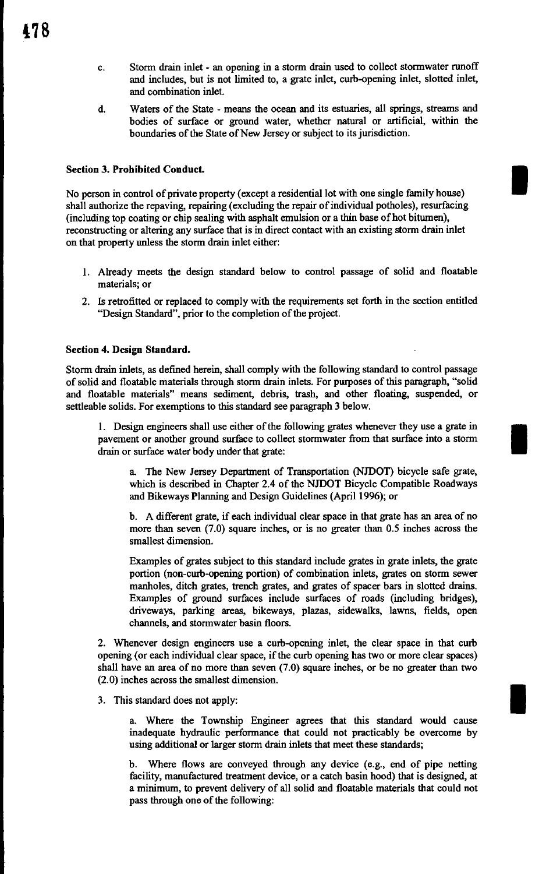- c. Storm drain inlet an opening in a storm drain used to collect stormwater runoff and includes, but is not limited to, a grate inlet, curb-opening inlet, slotted inlet, and combination inlet.
- d. Waters of the State means the ocean and its estuaries, all springs, streams and bodies of surface or ground water, whether natural or artificial, within the boundaries of the State of New Jersey or subject to its jurisdiction.

I

I

### Section 3. Prohibited Conduct.

No person in control of private property (except a residential lot with one single family house) shall authorize the repaving, repairing (excluding the repair of individual potholes), resurfacing (including top coating or chip sealing with asphalt emulsion or a thin base of hot bitumen), reconstructing or altering any surface that is in direct contact with an existing storm drain inlet on that property unless the storm drain inlet either:

- 1. Already meets the design standard below to control passage of solid and floatable materials; or
- 2. Is retrofitted or replaced to comply with the requirements set forth in the section entitled "Design Standard", prior to the completion of the project.

#### Section 4. Design Standard.

Storm drain inlets, as defined herein, shall comply with the following standard to control passage of solid and floatable materials through storm drain inlets. For purposes of this paragraph, "solid and floatable materials" means sediment, debris, trash, and other floating, suspended, or settleable solids. For exemptions to this standard see paragraph 3 below.

1. Design engineers shall use either of the following grates whenever they use a grate in pavement or another ground surface to collect stormwater from that surface into a storm drain or surface water body under that grate:

a The New Jersey Department of Transportation (NJDOT) bicycle safe grate, which is described in Chapter 2.4 of the NJDOT Bicycle Compatible Roadways and Bikeways Planning and Design Guidelines (April 1996); or

b. A different grate, if each individual clear space in that grate has an area of no more than seven (7 .0) square inches, or is no greater than 0.5 inches across the smallest dimension.

Examples of grates subject to this standard include grates in grate inlets, the grate portion (non-curb-opening portion) of combination inlets, grates on storm sewer manholes, ditch grates, trench grates, and grates of spacer bars in slotted drains. Examples of ground surfaces include surfaces of roads (including bridges), driveways, parking areas, bikeways, plazas, sidewalks, lawns, fields, open channels, and stormwater basin floors.

2. Whenever design engineers use a curb-opening inlet, the clear space in that curb opening (or each individual clear space, if the curb opening has two or more clear spaces) shall have an area of no more than seven (7.0) square inches, or be no greater than two (2.0) inches across the smallest dimension.

3. This standard does not apply:

a. Where the Township Engineer agrees that this standard would cause inadequate hydraulic performance that could not practicably be overcome by using additional or larger storm drain inlets that meet these standards;

b. Where flows are conveyed through any device (e.g., end of pipe netting facility, manufactured treatment device, or a catch basin hood) that is designed, at a minimum, to prevent delivery of all solid and floatable materials that could not pass through one of the following: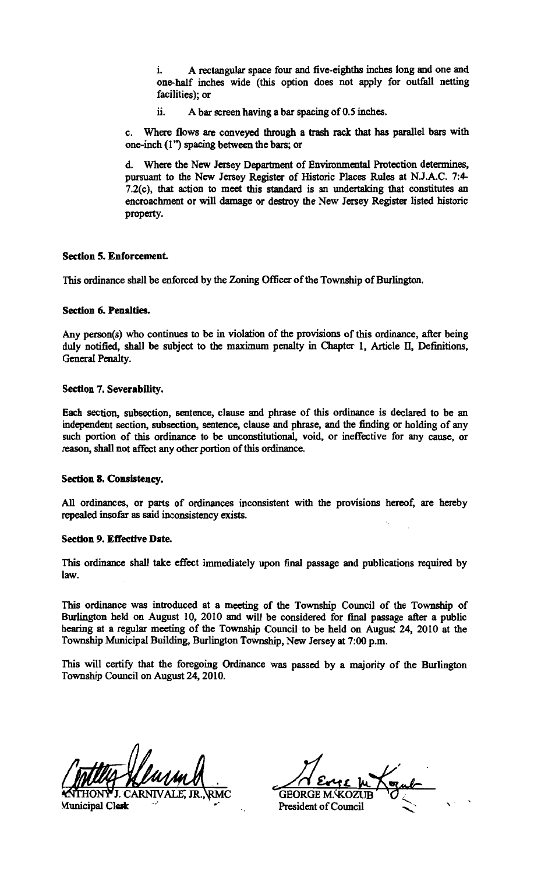A rectangular space four and five-eighths inches long and one and one-half inches wide (this option does not apply for outfall netting facilities); or

ii. A bar screen having a bar spacing of 0.5 inches.

c. Where flows are conveyed through a trash rack that has parallel bars with one-inch (l '') spacing between the bars; or

d. Where the New Jersey Department of Environmental Protection determines, pursuant to the New Jersey Register of Historic Places Rules at N.J.A.C. 7:4- 7.2(c), that action to meet this standard is an undertaking that constitutes an encroachment or will damage or destroy the New Jersey Register listed historic property.

#### Section 5. Enforcement.

This ordinance shall be enforced by the Zoning Officer of the Township of Burlington.

### Section 6. Penalties.

Any person(s) who continues to be in violation of the provisions of this ordinance, after being duly notified, shall be subject to the maximum penalty in Chapter 1, Article II, Definitions, General Penalty.

### Section 7. Severability.

Each section, subsection, sentence, clause and phrase of this ordinance is declared to be an independent section, subsection, sentence, clause and phrase, and the finding or holding of any such portion of this ordinance to be unconstitutional, void, or ineffective for any cause, or reason, shall not affect any other portion of this ordinance.

#### Section 8. Consistency.

All ordinances, or parts of ordinances inconsistent with the provisions hereof, are hereby repealed insofar as said inconsistency exists.

#### Section 9. Effective Date.

This ordinance shall take effect immediately upon final passage and publications required by law.

This ordinance was introduced at a meeting of the Township Council of the Township of Burlington held on August 10, 2010 and will be considered for final passage after a public hearing at a regular meeting of the Township Council to be held on August 24, 2010 at the Township Municipal Building, Burlington Township, New Jersey at 7:00 p.m.

This will certify that the foregoing Ordinance was passed by a majority of the Burlington Township Council on August 24, 2010.

J. CARNN AIE, JR., Municipal Clerk

GEORGE **M**,  $M\times N$ 

President of Council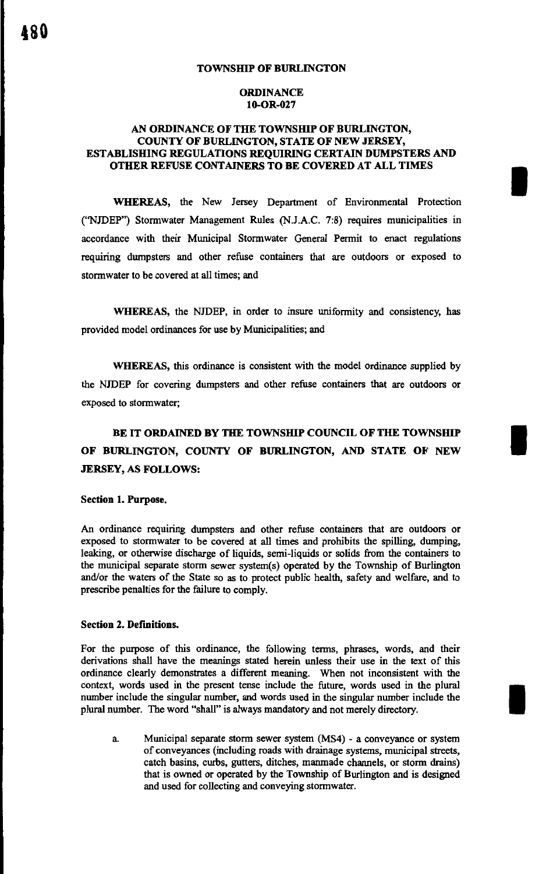#### TOWNSHIP OF BURLINGTON

### **ORDINANCE** 10-0R-027

### AN ORDINANCE OF THE TOWNSHIP OF BURLINGTON, COUNTY OF BURLINGTON, STATE OF NEW JERSEY, ESTABLISHING REGULATIONS REQUIRING CERTAIN DUMPSTERS AND OTHER REFUSE CONTAINERS TO BE COVERED AT ALL TIMES

I

I

I

WHEREAS, the New Jersey Department of Environmental Protection ("NJDEP") Stormwater Management Rules (N.J.A.C. 7:8) requires municipalities in accordance with their Municipal Stormwater General Permit to enact regulations requiring dumpsters and other refuse containers that are outdoors or exposed to stormwater to be covered at all times; and

WHEREAS, the NJDEP, in order to insure uniformity and consistency, has provided model ordinances for use by Municipalities; and

WHEREAS, this ordinance is consistent with the model ordinance supplied by the NJDEP for covering dumpsters and other refuse containers that are outdoors or exposed to stormwater;

# BE IT ORDAINED BY THE TOWNSHIP COUNCIL OF THE TOWNSHIP OF BURLINGTON, COUNTY OF BURLINGTON, AND STATE OF NEW JERSEY, AS FOLLOWS:

#### Section 1. Purpose.

An ordinance requiring dumpsters and other refuse containers that are outdoors or exposed to stormwater to be covered at all times and prohibits the spilling, dumping, leaking, or otherwise discharge of liquids, semi-liquids or solids from the containers to the municipal separate storm sewer system(s) operated by the Township of Burlington and/or the waters of the State so as to protect public health, safety and welfare, and to prescribe penalties for the failure to comply.

#### Section 2. Definitions.

For the purpose of this ordinance, the following terms, phrases, words, and their derivations shall have the meanings stated herein unless their use in the text of this ordinance clearly demonstrates a different meaning. When not inconsistent with the context, words used in the present tense include the future, words used in the plural number include the singular number, and words used in the singular number include the plural number. The word "shall" is always mandatory and not merely directory.

a. Municipal separate storm sewer system (MS4) - a conveyance or system of conveyances (including roads with drainage systems, municipal streets, catch basins, curbs, gutters, ditches, manmade channels, or storm drains) that is owned or operated by the Township of Burlington and is designed and used for collecting and conveying stormwater.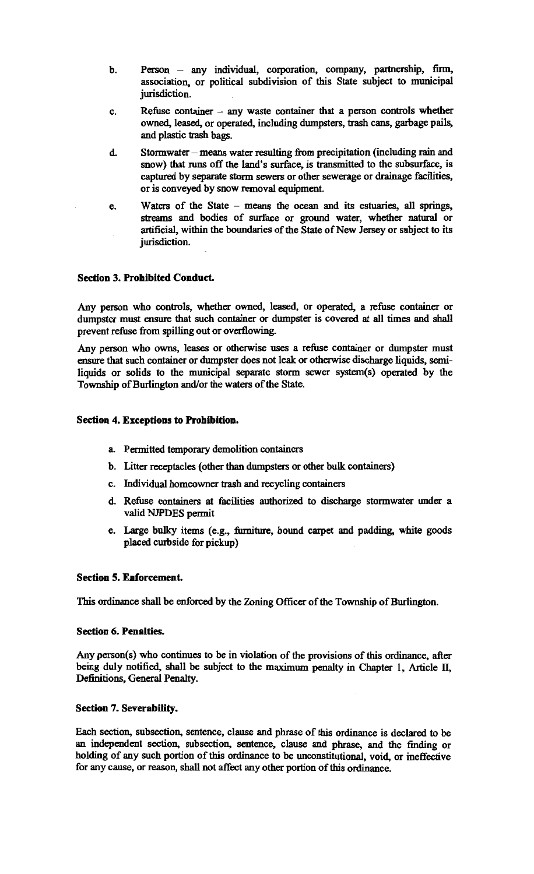- b. Person any individual, corporation, company, partnership, firm, association, or political subdivision of this State subject to municipal jurisdiction.
- c. Refuse container any waste container that a person controls whether owned, leased, or operated, including dumpsters, trash cans, garbage pails, and plastic trash bags.
- d. Stormwater means water resulting from precipitation (including rain and snow) that runs off the land's surface, is transmitted to the subsurface, is captured by separate storm sewers or other sewerage or drainage facilities, or is conveyed by snow removal equipment.
- e. Waters of the State means the ocean and its estuaries, all springs, streams and bodies of surface or ground water, whether natural or artificial, within the boundaries of the State of New Jersey or subject to its jurisdiction.

### Section 3. Prohibited Conduct.

Any person who controls, whether owned, leased, or operated, a refuse container or dumpster must ensure that such container or dumpster is covered at all times and shall prevent refuse from spilling out or overflowing.

Any person who owns, leases or otherwise uses a refuse container or dumpster must ensure that such container or dumpster does not leak or otherwise discharge liquids, semiliquids or solids to the municipal separate storm sewer system(s) operated by the Township of Burlington and/or the waters of the State.

### Section 4. Exceptions to Prohibition.

- a. Permitted temporary demolition containers
- b. Litter receptacles (other than dumpsters or other bulk containers)
- c. Individual homeowner trash and recycling containers
- d. Refuse containers at facilities authorized to discharge stormwater under a valid NJPDES permit
- e. Large bulky items (e.g., furniture, bound carpet and padding, white goods placed curbside for pickup)

#### Section 5. Enforcement.

This ordinance shall be enforced by the Zoning Officer of the Township of Burlington.

#### Section 6. Penalties.

Any person(s) who continues to be in violation of the provisions of this ordinance, after being duly notified, shall be subject to the maximum penalty in Chapter 1, Article II, Definitions, General Penalty.

#### Section 7. Severability.

Each section, subsection, sentence, clause and phrase of this ordinance is declared to be an independent section, subsection, sentence, clause and phrase, and the finding or holding of any such portion of this ordinance to be unconstitutional, void, or ineffective for any cause, or reason, shall not affect any other portion of this ordinance.